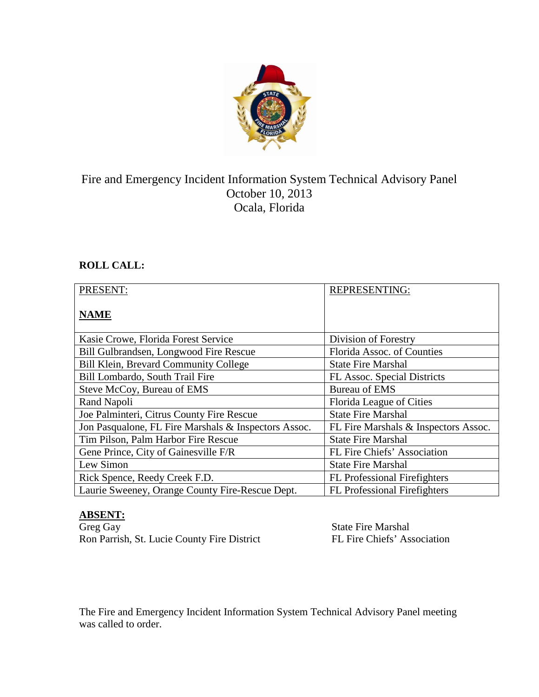

# Fire and Emergency Incident Information System Technical Advisory Panel October 10, 2013 Ocala, Florida

## **ROLL CALL:**

| PRESENT:                                             | <b>REPRESENTING:</b>                 |
|------------------------------------------------------|--------------------------------------|
| <b>NAME</b>                                          |                                      |
| Kasie Crowe, Florida Forest Service                  | Division of Forestry                 |
| Bill Gulbrandsen, Longwood Fire Rescue               | Florida Assoc. of Counties           |
| Bill Klein, Brevard Community College                | <b>State Fire Marshal</b>            |
| Bill Lombardo, South Trail Fire                      | FL Assoc. Special Districts          |
| Steve McCoy, Bureau of EMS                           | <b>Bureau of EMS</b>                 |
| Rand Napoli                                          | Florida League of Cities             |
| Joe Palminteri, Citrus County Fire Rescue            | <b>State Fire Marshal</b>            |
| Jon Pasqualone, FL Fire Marshals & Inspectors Assoc. | FL Fire Marshals & Inspectors Assoc. |
| Tim Pilson, Palm Harbor Fire Rescue                  | <b>State Fire Marshal</b>            |
| Gene Prince, City of Gainesville F/R                 | FL Fire Chiefs' Association          |
| Lew Simon                                            | <b>State Fire Marshal</b>            |
| Rick Spence, Reedy Creek F.D.                        | <b>FL</b> Professional Firefighters  |
| Laurie Sweeney, Orange County Fire-Rescue Dept.      | <b>FL Professional Firefighters</b>  |

# **ABSENT:**

Ron Parrish, St. Lucie County Fire District

State Fire Marshal<br>FL Fire Chiefs' Association

The Fire and Emergency Incident Information System Technical Advisory Panel meeting was called to order.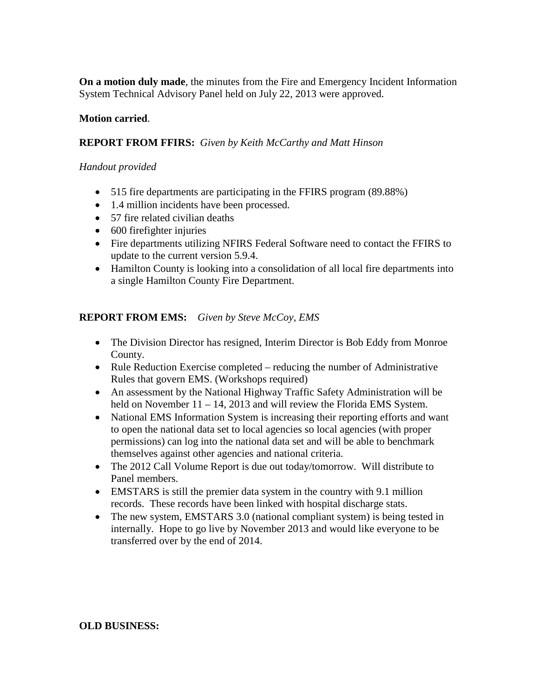**On a motion duly made**, the minutes from the Fire and Emergency Incident Information System Technical Advisory Panel held on July 22, 2013 were approved.

### **Motion carried**.

#### **REPORT FROM FFIRS:** *Given by Keith McCarthy and Matt Hinson*

#### *Handout provided*

- 515 fire departments are participating in the FFIRS program (89.88%)
- 1.4 million incidents have been processed.
- 57 fire related civilian deaths
- 600 firefighter injuries
- Fire departments utilizing NFIRS Federal Software need to contact the FFIRS to update to the current version 5.9.4.
- Hamilton County is looking into a consolidation of all local fire departments into a single Hamilton County Fire Department.

#### **REPORT FROM EMS:** *Given by Steve McCoy, EMS*

- The Division Director has resigned, Interim Director is Bob Eddy from Monroe County.
- Rule Reduction Exercise completed reducing the number of Administrative Rules that govern EMS. (Workshops required)
- An assessment by the National Highway Traffic Safety Administration will be held on November 11 – 14, 2013 and will review the Florida EMS System.
- National EMS Information System is increasing their reporting efforts and want to open the national data set to local agencies so local agencies (with proper permissions) can log into the national data set and will be able to benchmark themselves against other agencies and national criteria.
- The 2012 Call Volume Report is due out today/tomorrow. Will distribute to Panel members.
- EMSTARS is still the premier data system in the country with 9.1 million records. These records have been linked with hospital discharge stats.
- The new system, EMSTARS 3.0 (national compliant system) is being tested in internally. Hope to go live by November 2013 and would like everyone to be transferred over by the end of 2014.

#### **OLD BUSINESS:**